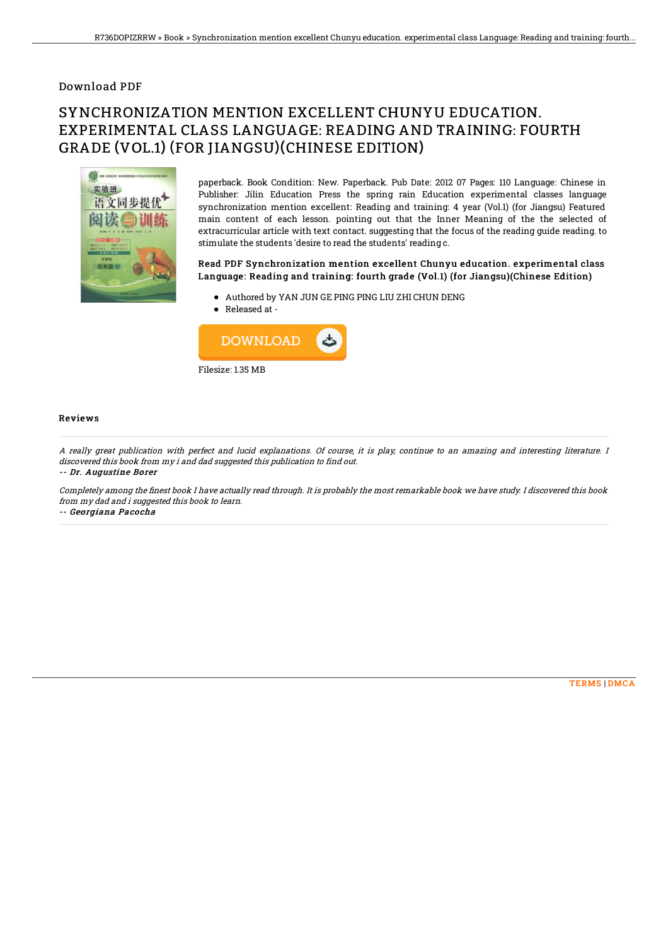### Download PDF

# SYNCHRONIZATION MENTION EXCELLENT CHUNYU EDUCATION. EXPERIMENTAL CLASS LANGUAGE: READING AND TRAINING: FOURTH GRADE (VOL.1) (FOR JIANGSU)(CHINESE EDITION)



paperback. Book Condition: New. Paperback. Pub Date: 2012 07 Pages: 110 Language: Chinese in Publisher: Jilin Education Press the spring rain Education experimental classes language synchronization mention excellent: Reading and training: 4 year (Vol.1) (for Jiangsu) Featured main content of each lesson. pointing out that the Inner Meaning of the the selected of extracurricular article with text contact. suggesting that the focus of the reading guide reading. to stimulate the students 'desire to read the students' reading c.

#### Read PDF Synchronization mention excellent Chunyu education. experimental class Language: Reading and t raining: fourth grade (Vol.1) (for Jiangsu)(Chinese Edition)

- Authored by YAN JUN GE PING PING LIU ZHI CHUN DENG
- Released at -



#### Reviews

A really great publication with perfect and lucid explanations. Of course, it is play, continue to an amazing and interesting literature. I discovered this book from my i and dad suggested this publication to find out.

-- Dr. Augustine Borer

Completely among the finest book I have actually read through. It is probably the most remarkable book we have study. I discovered this book from my dad and i suggested this book to learn.

-- Georgiana Pacocha